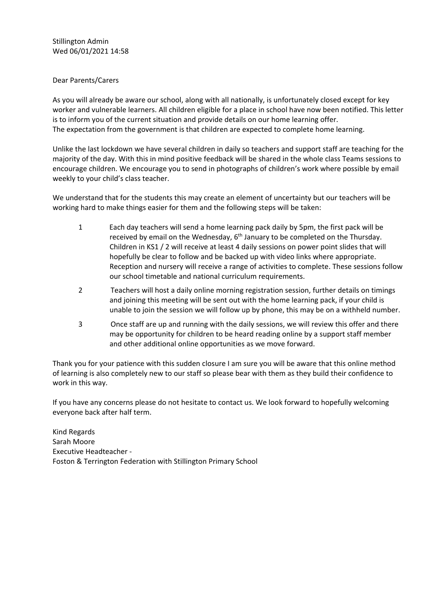Stillington Admin Wed 06/01/2021 14:58

## Dear Parents/Carers

As you will already be aware our school, along with all nationally, is unfortunately closed except for key worker and vulnerable learners. All children eligible for a place in school have now been notified. This letter is to inform you of the current situation and provide details on our home learning offer. The expectation from the government is that children are expected to complete home learning.

Unlike the last lockdown we have several children in daily so teachers and support staff are teaching for the majority of the day. With this in mind positive feedback will be shared in the whole class Teams sessions to encourage children. We encourage you to send in photographs of children's work where possible by email weekly to your child's class teacher.

We understand that for the students this may create an element of uncertainty but our teachers will be working hard to make things easier for them and the following steps will be taken:

- 1 Each day teachers will send a home learning pack daily by 5pm, the first pack will be received by email on the Wednesday, 6<sup>th</sup> January to be completed on the Thursday. Children in KS1 / 2 will receive at least 4 daily sessions on power point slides that will hopefully be clear to follow and be backed up with video links where appropriate. Reception and nursery will receive a range of activities to complete. These sessions follow our school timetable and national curriculum requirements.
- 2 Teachers will host a daily online morning registration session, further details on timings and joining this meeting will be sent out with the home learning pack, if your child is unable to join the session we will follow up by phone, this may be on a withheld number.
- 3 Once staff are up and running with the daily sessions, we will review this offer and there may be opportunity for children to be heard reading online by a support staff member and other additional online opportunities as we move forward.

Thank you for your patience with this sudden closure I am sure you will be aware that this online method of learning is also completely new to our staff so please bear with them as they build their confidence to work in this way.

If you have any concerns please do not hesitate to contact us. We look forward to hopefully welcoming everyone back after half term.

Kind Regards Sarah Moore Executive Headteacher - Foston & Terrington Federation with Stillington Primary School